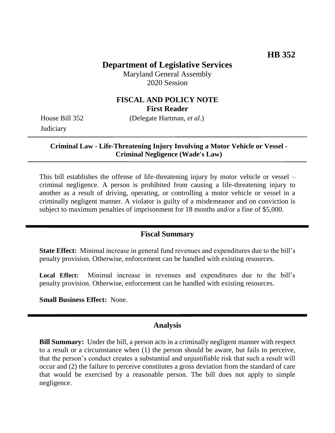# **Department of Legislative Services**

Maryland General Assembly 2020 Session

#### **FISCAL AND POLICY NOTE First Reader**

**Judiciary** 

House Bill 352 (Delegate Hartman, *et al.*)

**Criminal Law - Life-Threatening Injury Involving a Motor Vehicle or Vessel - Criminal Negligence (Wade's Law)**

This bill establishes the offense of life-threatening injury by motor vehicle or vessel – criminal negligence. A person is prohibited from causing a life-threatening injury to another as a result of driving, operating, or controlling a motor vehicle or vessel in a criminally negligent manner. A violator is guilty of a misdemeanor and on conviction is subject to maximum penalties of imprisonment for 18 months and/or a fine of \$5,000.

#### **Fiscal Summary**

**State Effect:** Minimal increase in general fund revenues and expenditures due to the bill's penalty provision. Otherwise, enforcement can be handled with existing resources.

**Local Effect:** Minimal increase in revenues and expenditures due to the bill's penalty provision. Otherwise, enforcement can be handled with existing resources.

**Small Business Effect:** None.

#### **Analysis**

**Bill Summary:** Under the bill, a person acts in a criminally negligent manner with respect to a result or a circumstance when (1) the person should be aware, but fails to perceive, that the person's conduct creates a substantial and unjustifiable risk that such a result will occur and (2) the failure to perceive constitutes a gross deviation from the standard of care that would be exercised by a reasonable person. The bill does not apply to simple negligence.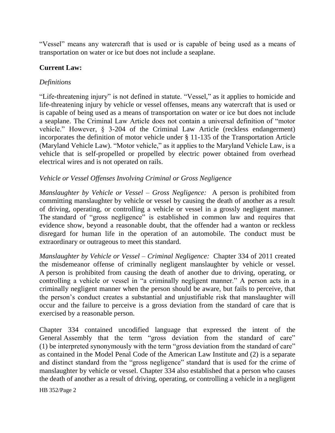"Vessel" means any watercraft that is used or is capable of being used as a means of transportation on water or ice but does not include a seaplane.

# **Current Law:**

### *Definitions*

"Life-threatening injury" is not defined in statute. "Vessel," as it applies to homicide and life-threatening injury by vehicle or vessel offenses, means any watercraft that is used or is capable of being used as a means of transportation on water or ice but does not include a seaplane. The Criminal Law Article does not contain a universal definition of "motor vehicle." However, § 3-204 of the Criminal Law Article (reckless endangerment) incorporates the definition of motor vehicle under § 11-135 of the Transportation Article (Maryland Vehicle Law). "Motor vehicle," as it applies to the Maryland Vehicle Law, is a vehicle that is self-propelled or propelled by electric power obtained from overhead electrical wires and is not operated on rails.

### *Vehicle or Vessel Offenses Involving Criminal or Gross Negligence*

*Manslaughter by Vehicle or Vessel – Gross Negligence:* A person is prohibited from committing manslaughter by vehicle or vessel by causing the death of another as a result of driving, operating, or controlling a vehicle or vessel in a grossly negligent manner. The standard of "gross negligence" is established in common law and requires that evidence show, beyond a reasonable doubt, that the offender had a wanton or reckless disregard for human life in the operation of an automobile. The conduct must be extraordinary or outrageous to meet this standard.

*Manslaughter by Vehicle or Vessel – Criminal Negligence:* Chapter 334 of 2011 created the misdemeanor offense of criminally negligent manslaughter by vehicle or vessel*.*  A person is prohibited from causing the death of another due to driving, operating, or controlling a vehicle or vessel in "a criminally negligent manner." A person acts in a criminally negligent manner when the person should be aware, but fails to perceive, that the person's conduct creates a substantial and unjustifiable risk that manslaughter will occur and the failure to perceive is a gross deviation from the standard of care that is exercised by a reasonable person.

Chapter 334 contained uncodified language that expressed the intent of the General Assembly that the term "gross deviation from the standard of care" (1) be interpreted synonymously with the term "gross deviation from the standard of care" as contained in the Model Penal Code of the American Law Institute and (2) is a separate and distinct standard from the "gross negligence" standard that is used for the crime of manslaughter by vehicle or vessel. Chapter 334 also established that a person who causes the death of another as a result of driving, operating, or controlling a vehicle in a negligent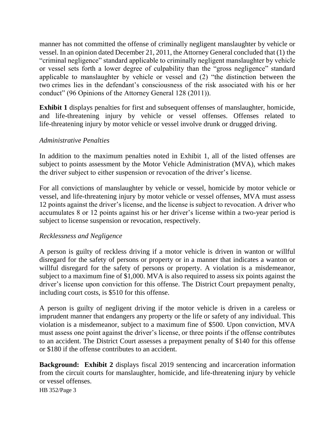manner has not committed the offense of criminally negligent manslaughter by vehicle or vessel. In an opinion dated December 21, 2011, the Attorney General concluded that (1) the "criminal negligence" standard applicable to criminally negligent manslaughter by vehicle or vessel sets forth a lower degree of culpability than the "gross negligence" standard applicable to manslaughter by vehicle or vessel and (2) "the distinction between the two crimes lies in the defendant's consciousness of the risk associated with his or her conduct" (96 Opinions of the Attorney General 128 (2011)).

**Exhibit 1** displays penalties for first and subsequent offenses of manslaughter, homicide, and life-threatening injury by vehicle or vessel offenses. Offenses related to life-threatening injury by motor vehicle or vessel involve drunk or drugged driving.

#### *Administrative Penalties*

In addition to the maximum penalties noted in Exhibit 1, all of the listed offenses are subject to points assessment by the Motor Vehicle Administration (MVA), which makes the driver subject to either suspension or revocation of the driver's license.

For all convictions of manslaughter by vehicle or vessel, homicide by motor vehicle or vessel, and life-threatening injury by motor vehicle or vessel offenses, MVA must assess 12 points against the driver's license, and the license is subject to revocation. A driver who accumulates 8 or 12 points against his or her driver's license within a two-year period is subject to license suspension or revocation, respectively.

#### *Recklessness and Negligence*

A person is guilty of reckless driving if a motor vehicle is driven in wanton or willful disregard for the safety of persons or property or in a manner that indicates a wanton or willful disregard for the safety of persons or property. A violation is a misdemeanor, subject to a maximum fine of \$1,000. MVA is also required to assess six points against the driver's license upon conviction for this offense. The District Court prepayment penalty, including court costs, is \$510 for this offense.

A person is guilty of negligent driving if the motor vehicle is driven in a careless or imprudent manner that endangers any property or the life or safety of any individual. This violation is a misdemeanor, subject to a maximum fine of \$500. Upon conviction, MVA must assess one point against the driver's license, or three points if the offense contributes to an accident. The District Court assesses a prepayment penalty of \$140 for this offense or \$180 if the offense contributes to an accident.

**Background: Exhibit 2** displays fiscal 2019 sentencing and incarceration information from the circuit courts for manslaughter, homicide, and life-threatening injury by vehicle or vessel offenses.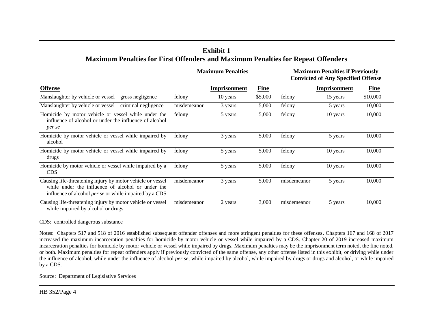# **Exhibit 1 Maximum Penalties for First Offenders and Maximum Penalties for Repeat Offenders**

|                                                                                                                                                                                  | <b>Maximum Penalties</b> |              |             | <b>Maximum Penalties if Previously</b><br><b>Convicted of Any Specified Offense</b> |                     |             |
|----------------------------------------------------------------------------------------------------------------------------------------------------------------------------------|--------------------------|--------------|-------------|-------------------------------------------------------------------------------------|---------------------|-------------|
| <b>Offense</b>                                                                                                                                                                   |                          | Imprisonment | <b>Fine</b> |                                                                                     | <b>Imprisonment</b> | <b>Fine</b> |
| Manslaughter by vehicle or vessel – gross negligence                                                                                                                             | felony                   | 10 years     | \$5,000     | felony                                                                              | 15 years            | \$10,000    |
| Manslaughter by vehicle or vessel – criminal negligence                                                                                                                          | misdemeanor              | 3 years      | 5,000       | felony                                                                              | 5 years             | 10,000      |
| Homicide by motor vehicle or vessel while under the<br>influence of alcohol or under the influence of alcohol<br>per se                                                          | felony                   | 5 years      | 5,000       | felony                                                                              | 10 years            | 10,000      |
| Homicide by motor vehicle or vessel while impaired by<br>alcohol                                                                                                                 | felony                   | 3 years      | 5,000       | felony                                                                              | 5 years             | 10,000      |
| Homicide by motor vehicle or vessel while impaired by<br>drugs                                                                                                                   | felony                   | 5 years      | 5,000       | felony                                                                              | 10 years            | 10,000      |
| Homicide by motor vehicle or vessel while impaired by a<br><b>CDS</b>                                                                                                            | felony                   | 5 years      | 5,000       | felony                                                                              | 10 years            | 10,000      |
| Causing life-threatening injury by motor vehicle or vessel<br>while under the influence of alcohol or under the<br>influence of alcohol <i>per se</i> or while impaired by a CDS | misdemeanor              | 3 years      | 5,000       | misdemeanor                                                                         | 5 years             | 10,000      |
| Causing life-threatening injury by motor vehicle or vessel<br>while impaired by alcohol or drugs                                                                                 | misdemeanor              | 2 years      | 3,000       | misdemeanor                                                                         | 5 years             | 10,000      |

CDS: controlled dangerous substance

Notes: Chapters 517 and 518 of 2016 established subsequent offender offenses and more stringent penalties for these offenses. Chapters 167 and 168 of 2017 increased the maximum incarceration penalties for homicide by motor vehicle or vessel while impaired by a CDS. Chapter 20 of 2019 increased maximum incarceration penalties for homicide by motor vehicle or vessel while impaired by drugs. Maximum penalties may be the imprisonment term noted, the fine noted, or both. Maximum penalties for repeat offenders apply if previously convicted of the same offense, any other offense listed in this exhibit, or driving while under the influence of alcohol, while under the influence of alcohol *per se*, while impaired by alcohol, while impaired by drugs or drugs and alcohol, or while impaired by a CDS.

Source: Department of Legislative Services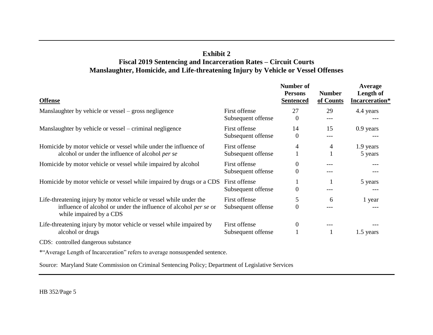# **Exhibit 2 Fiscal 2019 Sentencing and Incarceration Rates – Circuit Courts Manslaughter, Homicide, and Life-threatening Injury by Vehicle or Vessel Offenses**

| <b>Offense</b>                                                                                                                                                           |                                     | Number of<br><b>Persons</b><br><b>Sentenced</b> | <b>Number</b><br>of Counts | Average<br>Length of<br>Incarceration* |
|--------------------------------------------------------------------------------------------------------------------------------------------------------------------------|-------------------------------------|-------------------------------------------------|----------------------------|----------------------------------------|
| Manslaughter by vehicle or vessel – gross negligence                                                                                                                     | First offense<br>Subsequent offense | 27<br>$\Omega$                                  | 29<br>$---$                | 4.4 years                              |
| Manslaughter by vehicle or vessel – criminal negligence                                                                                                                  | First offense<br>Subsequent offense | 14<br>$\Omega$                                  | 15<br>---                  | $0.9$ years                            |
| Homicide by motor vehicle or vessel while under the influence of<br>alcohol or under the influence of alcohol per se                                                     | First offense<br>Subsequent offense | 4                                               | 4                          | 1.9 years<br>5 years                   |
| Homicide by motor vehicle or vessel while impaired by alcohol                                                                                                            | First offense<br>Subsequent offense | $\overline{0}$<br>$\overline{0}$                |                            | ---                                    |
| Homicide by motor vehicle or vessel while impaired by drugs or a CDS                                                                                                     | First offense<br>Subsequent offense | $\overline{0}$                                  |                            | 5 years                                |
| Life-threatening injury by motor vehicle or vessel while under the<br>influence of alcohol or under the influence of alcohol <i>per se</i> or<br>while impaired by a CDS | First offense<br>Subsequent offense | 5<br>$\theta$                                   | 6                          | 1 year<br>---                          |
| Life-threatening injury by motor vehicle or vessel while impaired by<br>alcohol or drugs                                                                                 | First offense<br>Subsequent offense | $\mathbf{0}$                                    |                            | 1.5 years                              |
| CDS: controlled dangerous substance                                                                                                                                      |                                     |                                                 |                            |                                        |
| *"Average Length of Incarceration" refers to average nonsuspended sentence.                                                                                              |                                     |                                                 |                            |                                        |

Source: Maryland State Commission on Criminal Sentencing Policy; Department of Legislative Services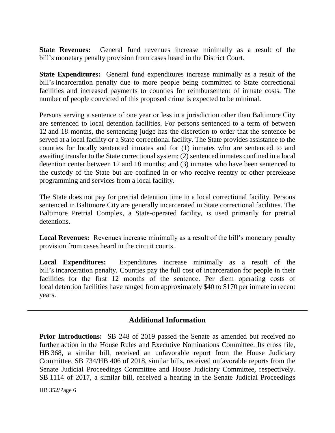**State Revenues:** General fund revenues increase minimally as a result of the bill's monetary penalty provision from cases heard in the District Court.

**State Expenditures:** General fund expenditures increase minimally as a result of the bill's incarceration penalty due to more people being committed to State correctional facilities and increased payments to counties for reimbursement of inmate costs. The number of people convicted of this proposed crime is expected to be minimal.

Persons serving a sentence of one year or less in a jurisdiction other than Baltimore City are sentenced to local detention facilities. For persons sentenced to a term of between 12 and 18 months, the sentencing judge has the discretion to order that the sentence be served at a local facility or a State correctional facility. The State provides assistance to the counties for locally sentenced inmates and for (1) inmates who are sentenced to and awaiting transfer to the State correctional system; (2) sentenced inmates confined in a local detention center between 12 and 18 months; and (3) inmates who have been sentenced to the custody of the State but are confined in or who receive reentry or other prerelease programming and services from a local facility.

The State does not pay for pretrial detention time in a local correctional facility. Persons sentenced in Baltimore City are generally incarcerated in State correctional facilities. The Baltimore Pretrial Complex, a State-operated facility, is used primarily for pretrial detentions.

**Local Revenues:** Revenues increase minimally as a result of the bill's monetary penalty provision from cases heard in the circuit courts.

**Local Expenditures:** Expenditures increase minimally as a result of the bill's incarceration penalty. Counties pay the full cost of incarceration for people in their facilities for the first 12 months of the sentence. Per diem operating costs of local detention facilities have ranged from approximately \$40 to \$170 per inmate in recent years.

# **Additional Information**

**Prior Introductions:** SB 248 of 2019 passed the Senate as amended but received no further action in the House Rules and Executive Nominations Committee. Its cross file, HB 368, a similar bill, received an unfavorable report from the House Judiciary Committee. SB 734/HB 406 of 2018, similar bills, received unfavorable reports from the Senate Judicial Proceedings Committee and House Judiciary Committee, respectively. SB 1114 of 2017, a similar bill, received a hearing in the Senate Judicial Proceedings